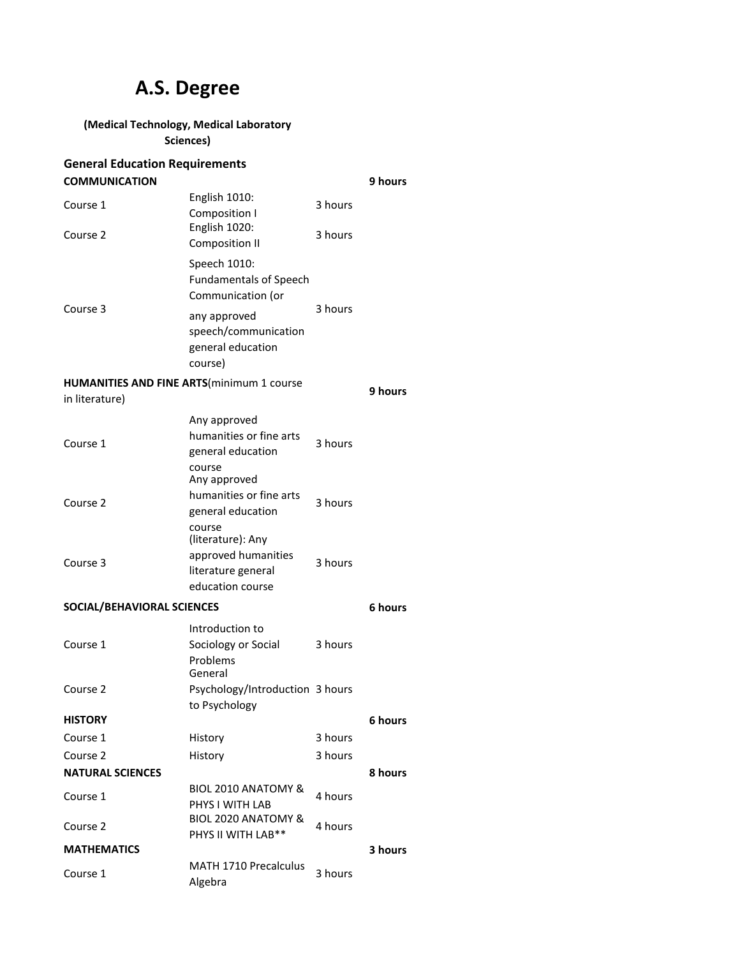# **A.S. Degree**

## **(Medical Technology, Medical Laboratory**

**Sciences)**

| <b>General Education Requirements</b>              |                                                                                    |         |         |
|----------------------------------------------------|------------------------------------------------------------------------------------|---------|---------|
| <b>COMMUNICATION</b>                               |                                                                                    |         | 9 hours |
| Course 1                                           | English 1010:<br>Composition I                                                     | 3 hours |         |
| Course 2                                           | English 1020:<br><b>Composition II</b>                                             | 3 hours |         |
| Course 3                                           | Speech 1010:<br><b>Fundamentals of Speech</b><br>Communication (or                 |         |         |
|                                                    | any approved<br>speech/communication<br>general education<br>course)               | 3 hours |         |
| <b>HUMANITIES AND FINE ARTS (minimum 1 course)</b> |                                                                                    |         | 9 hours |
| in literature)                                     |                                                                                    |         |         |
|                                                    | Any approved                                                                       |         |         |
| Course 1                                           | humanities or fine arts<br>general education                                       | 3 hours |         |
|                                                    | course<br>Any approved                                                             |         |         |
| Course 2                                           | humanities or fine arts<br>general education                                       | 3 hours |         |
|                                                    | course                                                                             |         |         |
| Course 3                                           | (literature): Any<br>approved humanities<br>literature general<br>education course | 3 hours |         |
| SOCIAL/BEHAVIORAL SCIENCES                         |                                                                                    |         | 6 hours |
| Course 1                                           | Introduction to<br>Sociology or Social<br>Problems<br>General                      | 3 hours |         |
| Course 2                                           | Psychology/Introduction 3 hours<br>to Psychology                                   |         |         |
| <b>HISTORY</b>                                     |                                                                                    |         | 6 hours |
| Course 1                                           | History                                                                            | 3 hours |         |
| Course 2                                           | History                                                                            | 3 hours |         |
| <b>NATURAL SCIENCES</b>                            |                                                                                    |         | 8 hours |
| Course 1                                           | BIOL 2010 ANATOMY &<br>PHYS I WITH LAB                                             | 4 hours |         |
| Course 2                                           | BIOL 2020 ANATOMY &<br>PHYS II WITH LAB**                                          | 4 hours |         |
| <b>MATHEMATICS</b>                                 |                                                                                    |         | 3 hours |
| Course 1                                           | <b>MATH 1710 Precalculus</b><br>Algebra                                            | 3 hours |         |